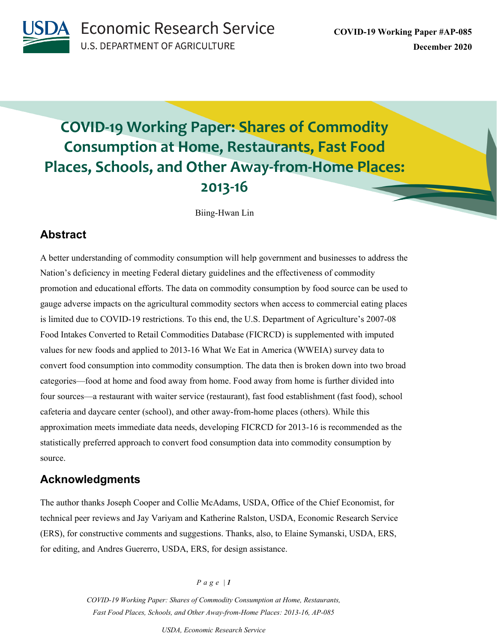**Economic Research Service U.S. DEPARTMENT OF AGRICULTURE** 

# **COVID-19 Working Paper: Shares of Commodity Consumption at Home, Restaurants, Fast Food Places, Schools, and Other Away-from-Home Places: 2013-16**

Biing-Hwan Lin

### **Abstract**

A better understanding of commodity consumption will help government and businesses to address the Nation's deficiency in meeting Federal dietary guidelines and the effectiveness of commodity promotion and educational efforts. The data on commodity consumption by food source can be used to gauge adverse impacts on the agricultural commodity sectors when access to commercial eating places is limited due to COVID-19 restrictions. To this end, the U.S. Department of Agriculture's 2007-08 Food Intakes Converted to Retail Commodities Database (FICRCD) is supplemented with imputed values for new foods and applied to 2013-16 What We Eat in America (WWEIA) survey data to convert food consumption into commodity consumption. The data then is broken down into two broad categories—food at home and food away from home. Food away from home is further divided into four sources—a restaurant with waiter service (restaurant), fast food establishment (fast food), school cafeteria and daycare center (school), and other away-from-home places (others). While this approximation meets immediate data needs, developing FICRCD for 2013-16 is recommended as the statistically preferred approach to convert food consumption data into commodity consumption by source.

### **Acknowledgments**

The author thanks Joseph Cooper and Collie McAdams, USDA, Office of the Chief Economist, for technical peer reviews and Jay Variyam and Katherine Ralston, USDA, Economic Research Service (ERS), for constructive comments and suggestions. Thanks, also, to Elaine Symanski, USDA, ERS, for editing, and Andres Guererro, USDA, ERS, for design assistance.

*Page | 1*

*COVID-19 Working Paper: Shares of Commodity Consumption at Home, Restaurants, Fast Food Places, Schools, and Other Away-from-Home Places: 2013-16, AP-085*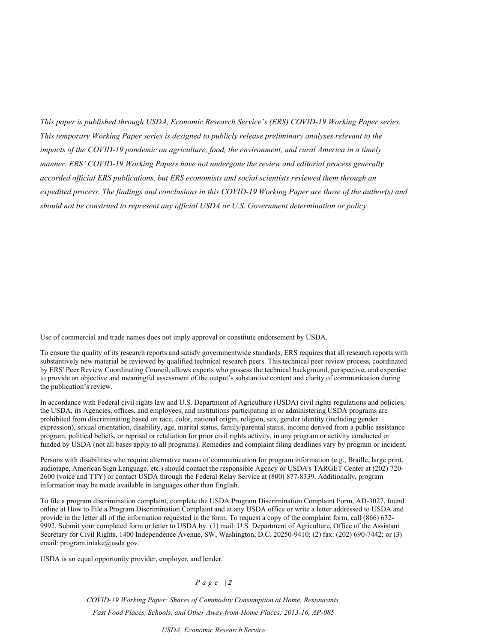*This paper is published through USDA, Economic Research Service's (ERS) COVID-19 Working Paper series. This temporary Working Paper series is designed to publicly release preliminary analyses relevant to the impacts of the COVID-19 pandemic on agriculture, food, the environment, and rural America in a timely manner. ERS' COVID-19 Working Papers have not undergone the review and editorial process generally accorded official ERS publications, but ERS economists and social scientists reviewed them through an expedited process. The findings and conclusions in this COVID-19 Working Paper are those of the author(s) and should not be construed to represent any official USDA or U.S. Government determination or policy.*

Use of commercial and trade names does not imply approval or constitute endorsement by USDA.

To ensure the quality of its research reports and satisfy governmentwide standards, ERS requires that all research reports with substantively new material be reviewed by qualified technical research peers. This technical peer review process, coordinated by ERS' Peer Review Coordinating Council, allows experts who possess the technical background, perspective, and expertise to provide an objective and meaningful assessment of the output's substantive content and clarity of communication during the publication's review.

In accordance with Federal civil rights law and U.S. Department of Agriculture (USDA) civil rights regulations and policies, the USDA, its Agencies, offices, and employees, and institutions participating in or administering USDA programs are prohibited from discriminating based on race, color, national origin, religion, sex, gender identity (including gender expression), sexual orientation, disability, age, marital status, family/parental status, income derived from a public assistance program, political beliefs, or reprisal or retaliation for prior civil rights activity, in any program or activity conducted or funded by USDA (not all bases apply to all programs). Remedies and complaint filing deadlines vary by program or incident.

Persons with disabilities who require alternative means of communication for program information (e.g., Braille, large print, audiotape, American Sign Language, etc.) should contact the responsible Agency or USDA's TARGET Center at (202) 720- 2600 (voice and TTY) or contact USDA through the Federal Relay Service at (800) 877-8339. Additionally, program information may be made available in languages other than English.

To file a program discrimination complaint, complete the USDA Program Discrimination Complaint Form, AD-3027, found online at How to File a Program Discrimination Complaint and at any USDA office or write a letter addressed to USDA and provide in the letter all of the information requested in the form. To request a copy of the complaint form, call (866) 632- 9992. Submit your completed form or letter to USDA by: (1) mail: U.S. Department of Agriculture, Office of the Assistant Secretary for Civil Rights, 1400 Independence Avenue, SW, Washington, D.C. 20250-9410; (2) fax: (202) 690-7442; or (3) email: program.intake@usda.gov.

USDA is an equal opportunity provider, employer, and lender.

#### *Page | 2*

*COVID-19 Working Paper: Shares of Commodity Consumption at Home, Restaurants, Fast Food Places, Schools, and Other Away-from-Home Places: 2013-16, AP-085*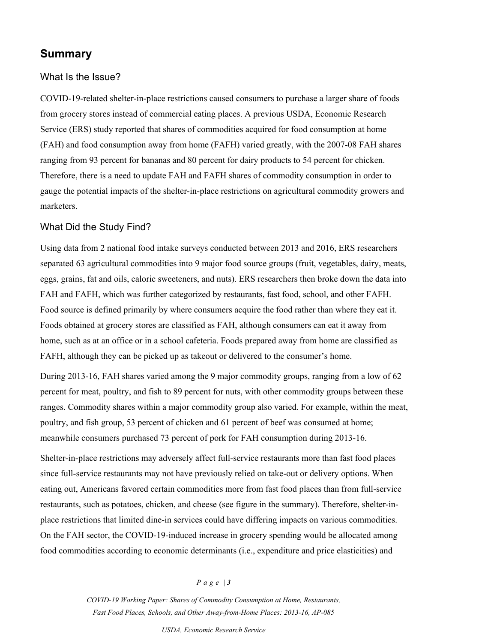### **Summary**

### What Is the Issue?

COVID-19-related shelter-in-place restrictions caused consumers to purchase a larger share of foods from grocery stores instead of commercial eating places. A previous USDA, Economic Research Service (ERS) study reported that shares of commodities acquired for food consumption at home (FAH) and food consumption away from home (FAFH) varied greatly, with the 2007-08 FAH shares ranging from 93 percent for bananas and 80 percent for dairy products to 54 percent for chicken. Therefore, there is a need to update FAH and FAFH shares of commodity consumption in order to gauge the potential impacts of the shelter-in-place restrictions on agricultural commodity growers and marketers.

### What Did the Study Find?

Using data from 2 national food intake surveys conducted between 2013 and 2016, ERS researchers separated 63 agricultural commodities into 9 major food source groups (fruit, vegetables, dairy, meats, eggs, grains, fat and oils, caloric sweeteners, and nuts). ERS researchers then broke down the data into FAH and FAFH, which was further categorized by restaurants, fast food, school, and other FAFH. Food source is defined primarily by where consumers acquire the food rather than where they eat it. Foods obtained at grocery stores are classified as FAH, although consumers can eat it away from home, such as at an office or in a school cafeteria. Foods prepared away from home are classified as FAFH, although they can be picked up as takeout or delivered to the consumer's home.

During 2013-16, FAH shares varied among the 9 major commodity groups, ranging from a low of 62 percent for meat, poultry, and fish to 89 percent for nuts, with other commodity groups between these ranges. Commodity shares within a major commodity group also varied. For example, within the meat, poultry, and fish group, 53 percent of chicken and 61 percent of beef was consumed at home; meanwhile consumers purchased 73 percent of pork for FAH consumption during 2013-16.

Shelter-in-place restrictions may adversely affect full-service restaurants more than fast food places since full-service restaurants may not have previously relied on take-out or delivery options. When eating out, Americans favored certain commodities more from fast food places than from full-service restaurants, such as potatoes, chicken, and cheese (see figure in the summary). Therefore, shelter-inplace restrictions that limited dine-in services could have differing impacts on various commodities. On the FAH sector, the COVID-19-induced increase in grocery spending would be allocated among food commodities according to economic determinants (i.e., expenditure and price elasticities) and

#### *Page | 3*

*COVID-19 Working Paper: Shares of Commodity Consumption at Home, Restaurants, Fast Food Places, Schools, and Other Away-from-Home Places: 2013-16, AP-085*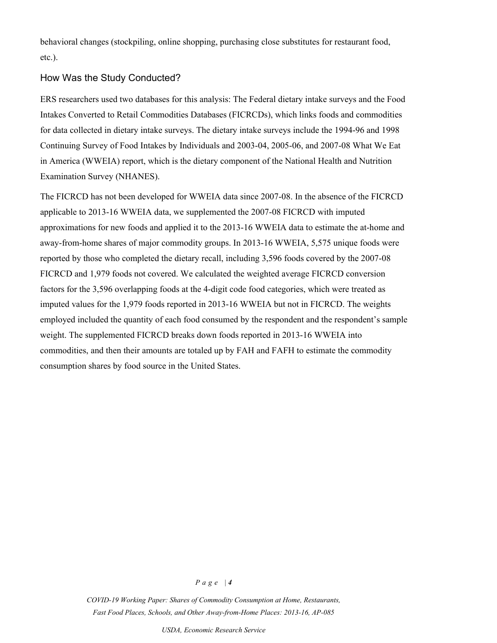behavioral changes (stockpiling, online shopping, purchasing close substitutes for restaurant food, etc.).

### How Was the Study Conducted?

ERS researchers used two databases for this analysis: The Federal dietary intake surveys and the Food Intakes Converted to Retail Commodities Databases (FICRCDs), which links foods and commodities for data collected in dietary intake surveys. The dietary intake surveys include the 1994-96 and 1998 Continuing Survey of Food Intakes by Individuals and 2003-04, 2005-06, and 2007-08 What We Eat in America (WWEIA) report, which is the dietary component of the National Health and Nutrition Examination Survey (NHANES).

The FICRCD has not been developed for WWEIA data since 2007-08. In the absence of the FICRCD applicable to 2013-16 WWEIA data, we supplemented the 2007-08 FICRCD with imputed approximations for new foods and applied it to the 2013-16 WWEIA data to estimate the at-home and away-from-home shares of major commodity groups. In 2013-16 WWEIA, 5,575 unique foods were reported by those who completed the dietary recall, including 3,596 foods covered by the 2007-08 FICRCD and 1,979 foods not covered. We calculated the weighted average FICRCD conversion factors for the 3,596 overlapping foods at the 4-digit code food categories, which were treated as imputed values for the 1,979 foods reported in 2013-16 WWEIA but not in FICRCD. The weights employed included the quantity of each food consumed by the respondent and the respondent's sample weight. The supplemented FICRCD breaks down foods reported in 2013-16 WWEIA into commodities, and then their amounts are totaled up by FAH and FAFH to estimate the commodity consumption shares by food source in the United States.

#### *Page | 4*

*COVID-19 Working Paper: Shares of Commodity Consumption at Home, Restaurants, Fast Food Places, Schools, and Other Away-from-Home Places: 2013-16, AP-085*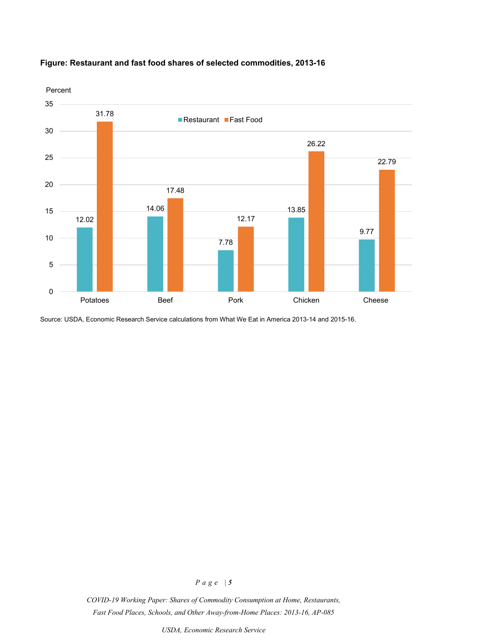

### **Figure: Restaurant and fast food shares of selected commodities, 2013-16**

Source: USDA, Economic Research Service calculations from What We Eat in America 2013-14 and 2015-16.

### *Page | 5*

*COVID-19 Working Paper: Shares of Commodity Consumption at Home, Restaurants, Fast Food Places, Schools, and Other Away-from-Home Places: 2013-16, AP-085*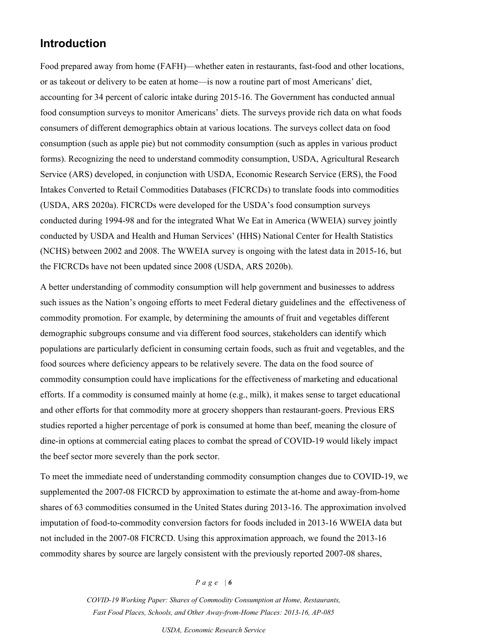### **Introduction**

Food prepared away from home (FAFH)—whether eaten in restaurants, fast-food and other locations, or as takeout or delivery to be eaten at home—is now a routine part of most Americans' diet, accounting for 34 percent of caloric intake during 2015-16. The Government has conducted annual food consumption surveys to monitor Americans' diets. The surveys provide rich data on what foods consumers of different demographics obtain at various locations. The surveys collect data on food consumption (such as apple pie) but not commodity consumption (such as apples in various product forms). Recognizing the need to understand commodity consumption, USDA, Agricultural Research Service (ARS) developed, in conjunction with USDA, Economic Research Service (ERS), the Food Intakes Converted to Retail Commodities Databases (FICRCDs) to translate foods into commodities (USDA, ARS 2020a). FICRCDs were developed for the USDA's food consumption surveys conducted during 1994-98 and for the integrated What We Eat in America (WWEIA) survey jointly conducted by USDA and Health and Human Services' (HHS) National Center for Health Statistics (NCHS) between 2002 and 2008. The WWEIA survey is ongoing with the latest data in 2015-16, but the FICRCDs have not been updated since 2008 (USDA, ARS 2020b).

A better understanding of commodity consumption will help government and businesses to address such issues as the Nation's ongoing efforts to meet Federal dietary guidelines and the effectiveness of commodity promotion. For example, by determining the amounts of fruit and vegetables different demographic subgroups consume and via different food sources, stakeholders can identify which populations are particularly deficient in consuming certain foods, such as fruit and vegetables, and the food sources where deficiency appears to be relatively severe. The data on the food source of commodity consumption could have implications for the effectiveness of marketing and educational efforts. If a commodity is consumed mainly at home (e.g., milk), it makes sense to target educational and other efforts for that commodity more at grocery shoppers than restaurant-goers. Previous ERS studies reported a higher percentage of pork is consumed at home than beef, meaning the closure of dine-in options at commercial eating places to combat the spread of COVID-19 would likely impact the beef sector more severely than the pork sector.

To meet the immediate need of understanding commodity consumption changes due to COVID-19, we supplemented the 2007-08 FICRCD by approximation to estimate the at-home and away-from-home shares of 63 commodities consumed in the United States during 2013-16. The approximation involved imputation of food-to-commodity conversion factors for foods included in 2013-16 WWEIA data but not included in the 2007-08 FICRCD. Using this approximation approach, we found the 2013-16 commodity shares by source are largely consistent with the previously reported 2007-08 shares,

#### *Page | 6*

*COVID-19 Working Paper: Shares of Commodity Consumption at Home, Restaurants, Fast Food Places, Schools, and Other Away-from-Home Places: 2013-16, AP-085*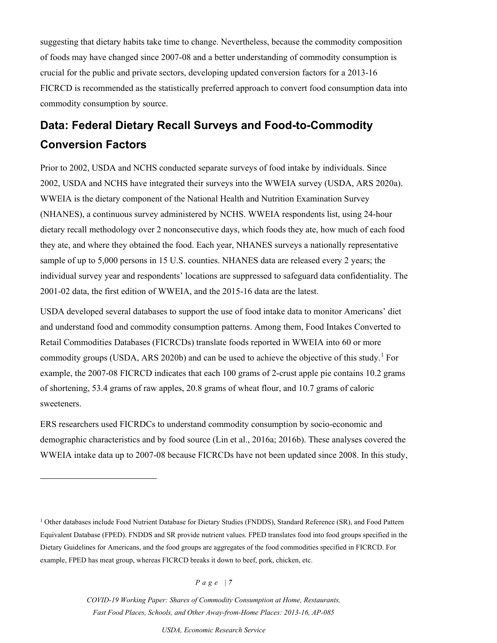suggesting that dietary habits take time to change. Nevertheless, because the commodity composition of foods may have changed since 2007-08 and a better understanding of commodity consumption is crucial for the public and private sectors, developing updated conversion factors for a 2013-16 FICRCD is recommended as the statistically preferred approach to convert food consumption data into commodity consumption by source.

## **Data: Federal Dietary Recall Surveys and Food-to-Commodity Conversion Factors**

Prior to 2002, USDA and NCHS conducted separate surveys of food intake by individuals. Since 2002, USDA and NCHS have integrated their surveys into the WWEIA survey (USDA, ARS 2020a). WWEIA is the dietary component of the National Health and Nutrition Examination Survey (NHANES), a continuous survey administered by NCHS. WWEIA respondents list, using 24-hour dietary recall methodology over 2 nonconsecutive days, which foods they ate, how much of each food they ate, and where they obtained the food. Each year, NHANES surveys a nationally representative sample of up to 5,000 persons in 15 U.S. counties. NHANES data are released every 2 years; the individual survey year and respondents' locations are suppressed to safeguard data confidentiality. The 2001-02 data, the first edition of WWEIA, and the 2015-16 data are the latest.

USDA developed several databases to support the use of food intake data to monitor Americans' diet and understand food and commodity consumption patterns. Among them, Food Intakes Converted to Retail Commodities Databases (FICRCDs) translate foods reported in WWEIA into 60 or more commodity groups (USDA, ARS 2020b) and can be used to achieve the objective of this study.<sup>[1](#page-6-0)</sup> For example, the 2007-08 FICRCD indicates that each 100 grams of 2-crust apple pie contains 10.2 grams of shortening, 53.4 grams of raw apples, 20.8 grams of wheat flour, and 10.7 grams of caloric sweeteners.

ERS researchers used FICRDCs to understand commodity consumption by socio-economic and demographic characteristics and by food source (Lin et al., 2016a; 2016b). These analyses covered the WWEIA intake data up to 2007-08 because FICRCDs have not been updated since 2008. In this study,

*Page | 7*

*COVID-19 Working Paper: Shares of Commodity Consumption at Home, Restaurants, Fast Food Places, Schools, and Other Away-from-Home Places: 2013-16, AP-085*

<span id="page-6-0"></span><sup>1</sup> Other databases include Food Nutrient Database for Dietary Studies (FNDDS), Standard Reference (SR), and Food Pattern Equivalent Database (FPED). FNDDS and SR provide nutrient values. FPED translates food into food groups specified in the Dietary Guidelines for Americans, and the food groups are aggregates of the food commodities specified in FICRCD. For example, FPED has meat group, whereas FICRCD breaks it down to beef, pork, chicken, etc.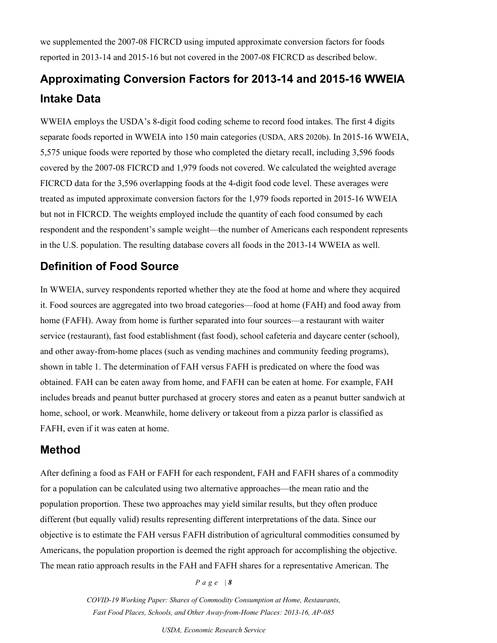we supplemented the 2007-08 FICRCD using imputed approximate conversion factors for foods reported in 2013-14 and 2015-16 but not covered in the 2007-08 FICRCD as described below.

# **Approximating Conversion Factors for 2013-14 and 2015-16 WWEIA Intake Data**

WWEIA employs the USDA's 8-digit food coding scheme to record food intakes. The first 4 digits separate foods reported in WWEIA into 150 main categories (USDA, ARS 2020b). In 2015-16 WWEIA, 5,575 unique foods were reported by those who completed the dietary recall, including 3,596 foods covered by the 2007-08 FICRCD and 1,979 foods not covered. We calculated the weighted average FICRCD data for the 3,596 overlapping foods at the 4-digit food code level. These averages were treated as imputed approximate conversion factors for the 1,979 foods reported in 2015-16 WWEIA but not in FICRCD. The weights employed include the quantity of each food consumed by each respondent and the respondent's sample weight—the number of Americans each respondent represents in the U.S. population. The resulting database covers all foods in the 2013-14 WWEIA as well.

### **Definition of Food Source**

In WWEIA, survey respondents reported whether they ate the food at home and where they acquired it. Food sources are aggregated into two broad categories—food at home (FAH) and food away from home (FAFH). Away from home is further separated into four sources—a restaurant with waiter service (restaurant), fast food establishment (fast food), school cafeteria and daycare center (school), and other away-from-home places (such as vending machines and community feeding programs), shown in table 1. The determination of FAH versus FAFH is predicated on where the food was obtained. FAH can be eaten away from home, and FAFH can be eaten at home. For example, FAH includes breads and peanut butter purchased at grocery stores and eaten as a peanut butter sandwich at home, school, or work. Meanwhile, home delivery or takeout from a pizza parlor is classified as FAFH, even if it was eaten at home.

### **Method**

After defining a food as FAH or FAFH for each respondent, FAH and FAFH shares of a commodity for a population can be calculated using two alternative approaches—the mean ratio and the population proportion. These two approaches may yield similar results, but they often produce different (but equally valid) results representing different interpretations of the data. Since our objective is to estimate the FAH versus FAFH distribution of agricultural commodities consumed by Americans, the population proportion is deemed the right approach for accomplishing the objective. The mean ratio approach results in the FAH and FAFH shares for a representative American. The

#### *Page | 8*

*COVID-19 Working Paper: Shares of Commodity Consumption at Home, Restaurants, Fast Food Places, Schools, and Other Away-from-Home Places: 2013-16, AP-085*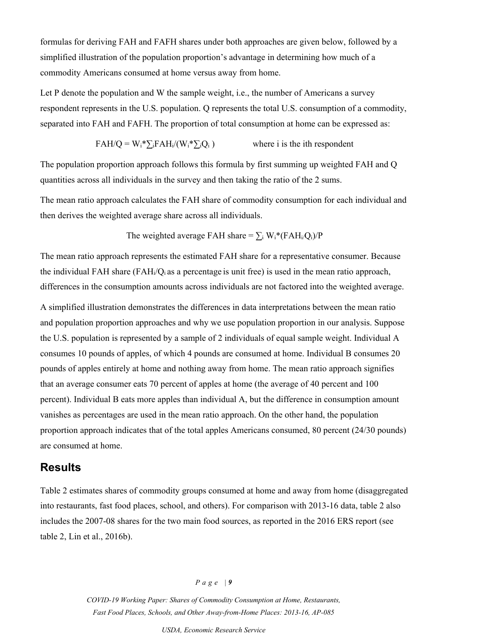formulas for deriving FAH and FAFH shares under both approaches are given below, followed by a simplified illustration of the population proportion's advantage in determining how much of a commodity Americans consumed at home versus away from home.

Let P denote the population and W the sample weight, i.e., the number of Americans a survey respondent represents in the U.S. population. Q represents the total U.S. consumption of a commodity, separated into FAH and FAFH. The proportion of total consumption at home can be expressed as:

$$
FAH/Q = W_i^* \sum_i FAH_i/(W_i^* \sum_i Q_i)
$$
 where i is the ith respondent

The population proportion approach follows this formula by first summing up weighted FAH and Q quantities across all individuals in the survey and then taking the ratio of the 2 sums.

The mean ratio approach calculates the FAH share of commodity consumption for each individual and then derives the weighted average share across all individuals.

The weighted average FAH share = 
$$
\sum_i W_i^*(FAH_i/Q_i)/P
$$

The mean ratio approach represents the estimated FAH share for a representative consumer. Because the individual FAH share  $(FAH_i/Q_i)$  as a percentage is unit free) is used in the mean ratio approach, differences in the consumption amounts across individuals are not factored into the weighted average.

A simplified illustration demonstrates the differences in data interpretations between the mean ratio and population proportion approaches and why we use population proportion in our analysis. Suppose the U.S. population is represented by a sample of 2 individuals of equal sample weight. Individual A consumes 10 pounds of apples, of which 4 pounds are consumed at home. Individual B consumes 20 pounds of apples entirely at home and nothing away from home. The mean ratio approach signifies that an average consumer eats 70 percent of apples at home (the average of 40 percent and 100 percent). Individual B eats more apples than individual A, but the difference in consumption amount vanishes as percentages are used in the mean ratio approach. On the other hand, the population proportion approach indicates that of the total apples Americans consumed, 80 percent (24/30 pounds) are consumed at home.

### **Results**

Table 2 estimates shares of commodity groups consumed at home and away from home (disaggregated into restaurants, fast food places, school, and others). For comparison with 2013-16 data, table 2 also includes the 2007-08 shares for the two main food sources, as reported in the 2016 ERS report (see table 2, Lin et al., 2016b).

#### *Page | 9*

*COVID-19 Working Paper: Shares of Commodity Consumption at Home, Restaurants, Fast Food Places, Schools, and Other Away-from-Home Places: 2013-16, AP-085*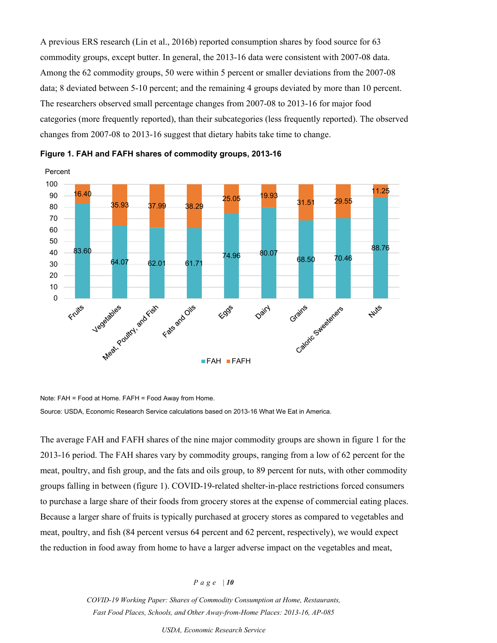A previous ERS research (Lin et al., 2016b) reported consumption shares by food source for 63 commodity groups, except butter. In general, the 2013-16 data were consistent with 2007-08 data. Among the 62 commodity groups, 50 were within 5 percent or smaller deviations from the 2007-08 data; 8 deviated between 5-10 percent; and the remaining 4 groups deviated by more than 10 percent. The researchers observed small percentage changes from 2007-08 to 2013-16 for major food categories (more frequently reported), than their subcategories (less frequently reported). The observed changes from 2007-08 to 2013-16 suggest that dietary habits take time to change.





Note: FAH = Food at Home. FAFH = Food Away from Home.

Source: USDA, Economic Research Service calculations based on 2013-16 What We Eat in America.

The average FAH and FAFH shares of the nine major commodity groups are shown in figure 1 for the 2013-16 period. The FAH shares vary by commodity groups, ranging from a low of 62 percent for the meat, poultry, and fish group, and the fats and oils group, to 89 percent for nuts, with other commodity groups falling in between (figure 1). COVID-19-related shelter-in-place restrictions forced consumers to purchase a large share of their foods from grocery stores at the expense of commercial eating places. Because a larger share of fruits is typically purchased at grocery stores as compared to vegetables and meat, poultry, and fish (84 percent versus 64 percent and 62 percent, respectively), we would expect the reduction in food away from home to have a larger adverse impact on the vegetables and meat,

*Page | 10*

*COVID-19 Working Paper: Shares of Commodity Consumption at Home, Restaurants, Fast Food Places, Schools, and Other Away-from-Home Places: 2013-16, AP-085*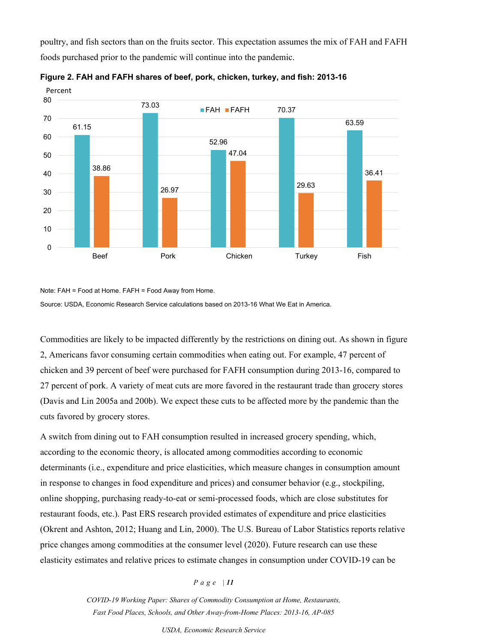poultry, and fish sectors than on the fruits sector. This expectation assumes the mix of FAH and FAFH foods purchased prior to the pandemic will continue into the pandemic.





Note: FAH = Food at Home. FAFH = Food Away from Home. Source: USDA, Economic Research Service calculations based on 2013-16 What We Eat in America.

Commodities are likely to be impacted differently by the restrictions on dining out. As shown in figure 2, Americans favor consuming certain commodities when eating out. For example, 47 percent of chicken and 39 percent of beef were purchased for FAFH consumption during 2013-16, compared to 27 percent of pork. A variety of meat cuts are more favored in the restaurant trade than grocery stores (Davis and Lin 2005a and 200b). We expect these cuts to be affected more by the pandemic than the cuts favored by grocery stores.

A switch from dining out to FAH consumption resulted in increased grocery spending, which, according to the economic theory, is allocated among commodities according to economic determinants (i.e., expenditure and price elasticities, which measure changes in consumption amount in response to changes in food expenditure and prices) and consumer behavior (e.g., stockpiling, online shopping, purchasing ready-to-eat or semi-processed foods, which are close substitutes for restaurant foods, etc.). Past ERS research provided estimates of expenditure and price elasticities (Okrent and Ashton, 2012; Huang and Lin, 2000). The U.S. Bureau of Labor Statistics reports relative price changes among commodities at the consumer level (2020). Future research can use these elasticity estimates and relative prices to estimate changes in consumption under COVID-19 can be

*Page | 11*

*COVID-19 Working Paper: Shares of Commodity Consumption at Home, Restaurants, Fast Food Places, Schools, and Other Away-from-Home Places: 2013-16, AP-085*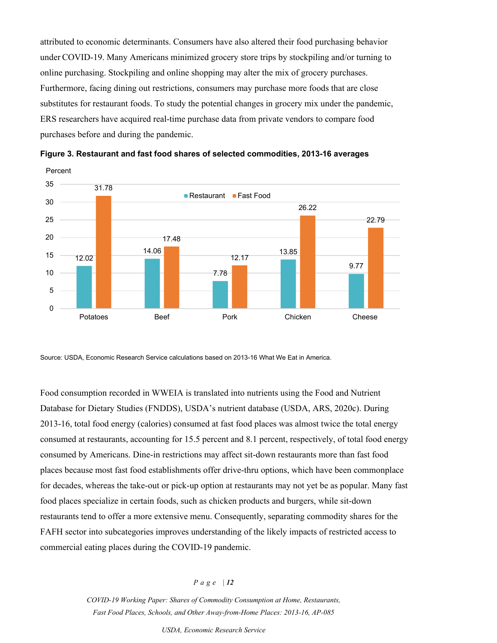attributed to economic determinants. Consumers have also altered their food purchasing behavior under COVID-19. Many Americans minimized grocery store trips by stockpiling and/or turning to online purchasing. Stockpiling and online shopping may alter the mix of grocery purchases. Furthermore, facing dining out restrictions, consumers may purchase more foods that are close substitutes for restaurant foods. To study the potential changes in grocery mix under the pandemic, ERS researchers have acquired real-time purchase data from private vendors to compare food purchases before and during the pandemic.





Source: USDA, Economic Research Service calculations based on 2013-16 What We Eat in America.

Food consumption recorded in WWEIA is translated into nutrients using the Food and Nutrient Database for Dietary Studies (FNDDS), USDA's nutrient database (USDA, ARS, 2020c). During 2013-16, total food energy (calories) consumed at fast food places was almost twice the total energy consumed at restaurants, accounting for 15.5 percent and 8.1 percent, respectively, of total food energy consumed by Americans. Dine-in restrictions may affect sit-down restaurants more than fast food places because most fast food establishments offer drive-thru options, which have been commonplace for decades, whereas the take-out or pick-up option at restaurants may not yet be as popular. Many fast food places specialize in certain foods, such as chicken products and burgers, while sit-down restaurants tend to offer a more extensive menu. Consequently, separating commodity shares for the FAFH sector into subcategories improves understanding of the likely impacts of restricted access to commercial eating places during the COVID-19 pandemic.

#### *Page | 12*

*COVID-19 Working Paper: Shares of Commodity Consumption at Home, Restaurants, Fast Food Places, Schools, and Other Away-from-Home Places: 2013-16, AP-085*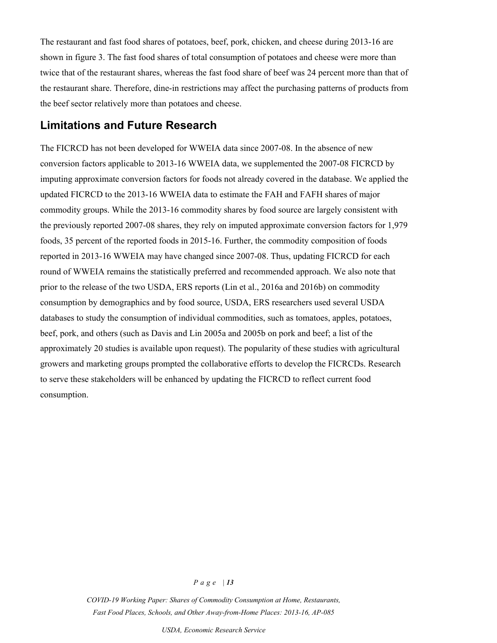The restaurant and fast food shares of potatoes, beef, pork, chicken, and cheese during 2013-16 are shown in figure 3. The fast food shares of total consumption of potatoes and cheese were more than twice that of the restaurant shares, whereas the fast food share of beef was 24 percent more than that of the restaurant share. Therefore, dine-in restrictions may affect the purchasing patterns of products from the beef sector relatively more than potatoes and cheese.

### **Limitations and Future Research**

The FICRCD has not been developed for WWEIA data since 2007-08. In the absence of new conversion factors applicable to 2013-16 WWEIA data, we supplemented the 2007-08 FICRCD by imputing approximate conversion factors for foods not already covered in the database. We applied the updated FICRCD to the 2013-16 WWEIA data to estimate the FAH and FAFH shares of major commodity groups. While the 2013-16 commodity shares by food source are largely consistent with the previously reported 2007-08 shares, they rely on imputed approximate conversion factors for 1,979 foods, 35 percent of the reported foods in 2015-16. Further, the commodity composition of foods reported in 2013-16 WWEIA may have changed since 2007-08. Thus, updating FICRCD for each round of WWEIA remains the statistically preferred and recommended approach. We also note that prior to the release of the two USDA, ERS reports (Lin et al., 2016a and 2016b) on commodity consumption by demographics and by food source, USDA, ERS researchers used several USDA databases to study the consumption of individual commodities, such as tomatoes, apples, potatoes, beef, pork, and others (such as Davis and Lin 2005a and 2005b on pork and beef; a list of the approximately 20 studies is available upon request). The popularity of these studies with agricultural growers and marketing groups prompted the collaborative efforts to develop the FICRCDs. Research to serve these stakeholders will be enhanced by updating the FICRCD to reflect current food consumption.

#### *Page | 13*

*COVID-19 Working Paper: Shares of Commodity Consumption at Home, Restaurants, Fast Food Places, Schools, and Other Away-from-Home Places: 2013-16, AP-085*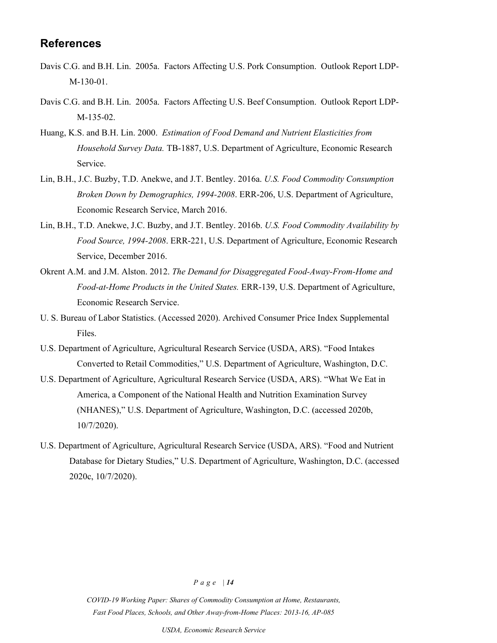### **References**

- Davis C.G. and B.H. Lin. 2005a. Factors Affecting U.S. Pork Consumption. Outlook Report LDP-M-130-01.
- Davis C.G. and B.H. Lin. 2005a. Factors Affecting U.S. Beef Consumption. Outlook Report LDP-M-135-02.
- Huang, K.S. and B.H. Lin. 2000. *Estimation of Food Demand and Nutrient Elasticities from Household Survey Data.* TB-1887, U.S. Department of Agriculture, Economic Research Service.
- Lin, B.H., J.C. Buzby, T.D. Anekwe, and J.T. Bentley. 2016a. *U.S. Food Commodity Consumption Broken Down by Demographics, 1994-2008*. ERR-206, U.S. Department of Agriculture, Economic Research Service, March 2016.
- Lin, B.H., T.D. Anekwe, J.C. Buzby, and J.T. Bentley. 2016b. *U.S. Food Commodity Availability by Food Source, 1994-2008*. ERR-221, U.S. Department of Agriculture, Economic Research Service, December 2016.
- Okrent A.M. and J.M. Alston. 2012. *The Demand for Disaggregated Food-Away-From-Home and Food-at-Home Products in the United States.* ERR-139, U.S. Department of Agriculture, Economic Research Service.
- U. S. Bureau of Labor Statistics. (Accessed 2020). Archived Consumer Price Index Supplemental Files.
- U.S. Department of Agriculture, Agricultural Research Service (USDA, ARS). "Food Intakes Converted to Retail Commodities," U.S. Department of Agriculture, Washington, D.C.
- U.S. Department of Agriculture, Agricultural Research Service (USDA, ARS). "What We Eat in America, a Component of the National Health and Nutrition Examination Survey (NHANES)," U.S. Department of Agriculture, Washington, D.C. (accessed 2020b, 10/7/2020).
- U.S. Department of Agriculture, Agricultural Research Service (USDA, ARS). "Food and Nutrient Database for Dietary Studies," U.S. Department of Agriculture, Washington, D.C. (accessed 2020c, 10/7/2020).

#### *Page | 14*

*COVID-19 Working Paper: Shares of Commodity Consumption at Home, Restaurants, Fast Food Places, Schools, and Other Away-from-Home Places: 2013-16, AP-085*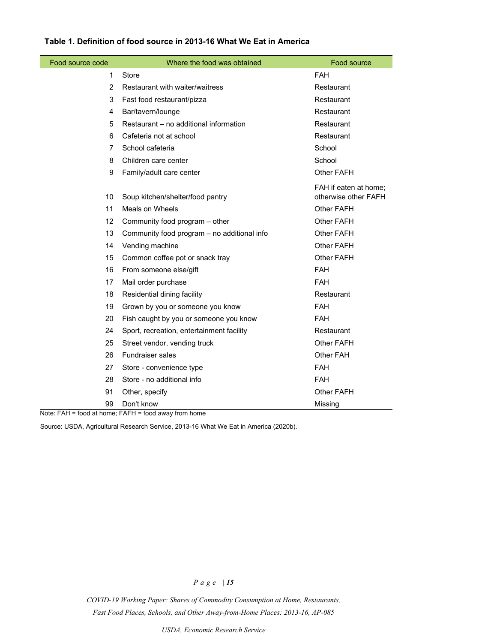| Food source code | Where the food was obtained                 | Food source                                   |
|------------------|---------------------------------------------|-----------------------------------------------|
| 1                | Store                                       | <b>FAH</b>                                    |
| $\overline{2}$   | Restaurant with waiter/waitress             | Restaurant                                    |
| 3                | Fast food restaurant/pizza                  | Restaurant                                    |
| 4                | Bar/tavern/lounge                           | Restaurant                                    |
| 5                | Restaurant - no additional information      | Restaurant                                    |
| 6                | Cafeteria not at school                     | Restaurant                                    |
| $\overline{7}$   | School cafeteria                            | School                                        |
| 8                | Children care center                        | School                                        |
| 9                | Family/adult care center                    | Other FAFH                                    |
| 10               | Soup kitchen/shelter/food pantry            | FAH if eaten at home;<br>otherwise other FAFH |
| 11               | Meals on Wheels                             | Other FAFH                                    |
| 12               | Community food program - other              | Other FAFH                                    |
| 13               | Community food program - no additional info | Other FAFH                                    |
| 14               | Vending machine                             | Other FAFH                                    |
| 15               | Common coffee pot or snack tray             | Other FAFH                                    |
| 16               | From someone else/gift                      | <b>FAH</b>                                    |
| 17               | Mail order purchase                         | <b>FAH</b>                                    |
| 18               | Residential dining facility                 | Restaurant                                    |
| 19               | Grown by you or someone you know            | <b>FAH</b>                                    |
| 20               | Fish caught by you or someone you know      | <b>FAH</b>                                    |
| 24               | Sport, recreation, entertainment facility   | Restaurant                                    |
| 25               | Street vendor, vending truck                | Other FAFH                                    |
| 26               | Fundraiser sales                            | Other FAH                                     |
| 27               | Store - convenience type                    | <b>FAH</b>                                    |
| 28               | Store - no additional info                  | <b>FAH</b>                                    |
| 91               | Other, specify                              | Other FAFH                                    |
| 99               | Don't know                                  | Missing                                       |

### **Table 1. Definition of food source in 2013-16 What We Eat in America**

Note: FAH = food at home; FAFH = food away from home

Source: USDA, Agricultural Research Service, 2013-16 What We Eat in America (2020b).

### *Page | 15*

*COVID-19 Working Paper: Shares of Commodity Consumption at Home, Restaurants, Fast Food Places, Schools, and Other Away-from-Home Places: 2013-16, AP-085*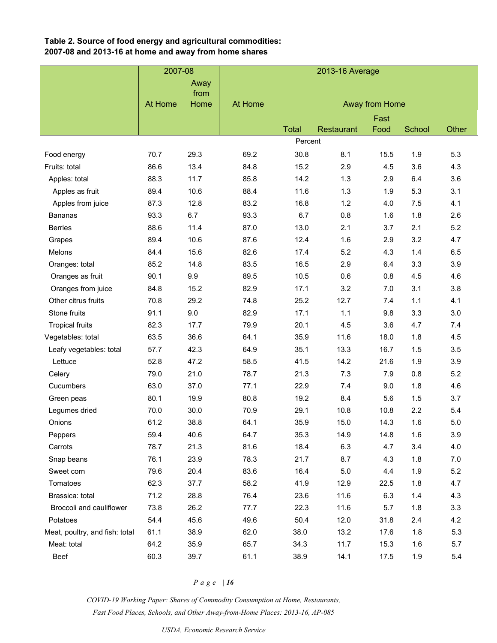### **Table 2. Source of food energy and agricultural commodities: 2007-08 and 2013-16 at home and away from home shares**

|                                | 2007-08 |      | 2013-16 Average |                |            |      |        |       |
|--------------------------------|---------|------|-----------------|----------------|------------|------|--------|-------|
|                                |         | Away |                 |                |            |      |        |       |
|                                |         | from |                 |                |            |      |        |       |
|                                | At Home | Home | At Home         | Away from Home |            |      |        |       |
|                                |         |      |                 |                |            | Fast |        |       |
|                                |         |      |                 | <b>Total</b>   | Restaurant | Food | School | Other |
|                                |         |      |                 | Percent        |            |      |        |       |
| Food energy                    | 70.7    | 29.3 | 69.2            | 30.8           | 8.1        | 15.5 | 1.9    | 5.3   |
| Fruits: total                  | 86.6    | 13.4 | 84.8            | 15.2           | 2.9        | 4.5  | 3.6    | 4.3   |
| Apples: total                  | 88.3    | 11.7 | 85.8            | 14.2           | 1.3        | 2.9  | 6.4    | 3.6   |
| Apples as fruit                | 89.4    | 10.6 | 88.4            | 11.6           | 1.3        | 1.9  | 5.3    | 3.1   |
| Apples from juice              | 87.3    | 12.8 | 83.2            | 16.8           | 1.2        | 4.0  | 7.5    | 4.1   |
| <b>Bananas</b>                 | 93.3    | 6.7  | 93.3            | 6.7            | 0.8        | 1.6  | 1.8    | 2.6   |
| <b>Berries</b>                 | 88.6    | 11.4 | 87.0            | 13.0           | 2.1        | 3.7  | 2.1    | 5.2   |
| Grapes                         | 89.4    | 10.6 | 87.6            | 12.4           | 1.6        | 2.9  | 3.2    | 4.7   |
| Melons                         | 84.4    | 15.6 | 82.6            | 17.4           | 5.2        | 4.3  | 1.4    | 6.5   |
| Oranges: total                 | 85.2    | 14.8 | 83.5            | 16.5           | 2.9        | 6.4  | 3.3    | 3.9   |
| Oranges as fruit               | 90.1    | 9.9  | 89.5            | 10.5           | 0.6        | 0.8  | 4.5    | 4.6   |
| Oranges from juice             | 84.8    | 15.2 | 82.9            | 17.1           | 3.2        | 7.0  | 3.1    | 3.8   |
| Other citrus fruits            | 70.8    | 29.2 | 74.8            | 25.2           | 12.7       | 7.4  | 1.1    | 4.1   |
| Stone fruits                   | 91.1    | 9.0  | 82.9            | 17.1           | 1.1        | 9.8  | 3.3    | 3.0   |
| <b>Tropical fruits</b>         | 82.3    | 17.7 | 79.9            | 20.1           | 4.5        | 3.6  | 4.7    | 7.4   |
| Vegetables: total              | 63.5    | 36.6 | 64.1            | 35.9           | 11.6       | 18.0 | 1.8    | 4.5   |
| Leafy vegetables: total        | 57.7    | 42.3 | 64.9            | 35.1           | 13.3       | 16.7 | 1.5    | 3.5   |
| Lettuce                        | 52.8    | 47.2 | 58.5            | 41.5           | 14.2       | 21.6 | 1.9    | 3.9   |
| Celery                         | 79.0    | 21.0 | 78.7            | 21.3           | 7.3        | 7.9  | 0.8    | 5.2   |
| Cucumbers                      | 63.0    | 37.0 | 77.1            | 22.9           | 7.4        | 9.0  | 1.8    | 4.6   |
| Green peas                     | 80.1    | 19.9 | 80.8            | 19.2           | 8.4        | 5.6  | 1.5    | 3.7   |
| Legumes dried                  | 70.0    | 30.0 | 70.9            | 29.1           | 10.8       | 10.8 | 2.2    | 5.4   |
| Onions                         | 61.2    | 38.8 | 64.1            | 35.9           | 15.0       | 14.3 | 1.6    | 5.0   |
| Peppers                        | 59.4    | 40.6 | 64.7            | 35.3           | 14.9       | 14.8 | 1.6    | 3.9   |
| Carrots                        | 78.7    | 21.3 | 81.6            | 18.4           | 6.3        | 4.7  | 3.4    | 4.0   |
| Snap beans                     | 76.1    | 23.9 | 78.3            | 21.7           | 8.7        | 4.3  | 1.8    | 7.0   |
| Sweet corn                     | 79.6    | 20.4 | 83.6            | 16.4           | 5.0        | 4.4  | 1.9    | 5.2   |
| Tomatoes                       | 62.3    | 37.7 | 58.2            | 41.9           | 12.9       | 22.5 | 1.8    | 4.7   |
| Brassica: total                | 71.2    | 28.8 | 76.4            | 23.6           | 11.6       | 6.3  | 1.4    | 4.3   |
| Broccoli and cauliflower       | 73.8    | 26.2 | 77.7            | 22.3           | 11.6       | 5.7  | 1.8    | 3.3   |
| Potatoes                       | 54.4    | 45.6 | 49.6            | 50.4           | 12.0       | 31.8 | 2.4    | 4.2   |
| Meat, poultry, and fish: total | 61.1    | 38.9 | 62.0            | 38.0           | 13.2       | 17.6 | 1.8    | 5.3   |
| Meat: total                    | 64.2    | 35.9 | 65.7            | 34.3           | 11.7       | 15.3 | 1.6    | 5.7   |
| Beef                           | 60.3    | 39.7 | 61.1            | 38.9           | 14.1       | 17.5 | 1.9    | 5.4   |

### *Page | 16*

*COVID-19 Working Paper: Shares of Commodity Consumption at Home, Restaurants, Fast Food Places, Schools, and Other Away-from-Home Places: 2013-16, AP-085*